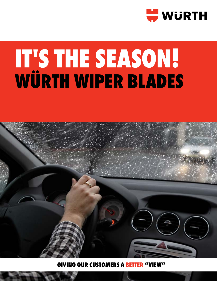

# **IT'S THE SEASON! WÜRTH WIPER BLADES**



**GIVING OUR CUSTOMERS A BET**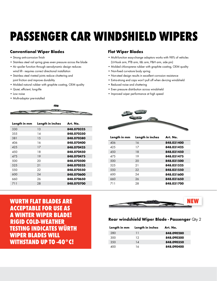## **PASSENGER CAR WINDSHIELD WIPERS**

#### **Conventional Wiper Blades**

- Strong anti-corrosion finish
- Stainless steel rail spring gives even pressure across the blade
- Air spoiler function through aerodynamic design reduces wind lift - requires correct directional installation
- Stainless steel riveted joints reduce chattering and joint friction and improve durability
- Molded natural rubber with graphite coating, OEM quality
- Quiet, efficient, long-life
- Low noise
- Multi-adaptor pre-installed



| Length in mm | Length in inches | Art. No.   |
|--------------|------------------|------------|
| 330          | 13               | 848.070325 |
| 3.5.5        | 14               | 848.070350 |
| 381          | 1.5              | 848.070380 |
| 406          | 16               | 848.070400 |
| 425          | 17               | 848.070425 |
| 450          | 18               | 848.070450 |
| 475          | 19               | 848.070475 |
| 500          | 20               | 848.070500 |
| 525          | 21               | 848.070525 |
| 550          | 22               | 848.070550 |
| 600          | 24               | 848.070600 |
| 660          | 26               | 848.070650 |
| 711          | 28               | 848.070700 |
|              |                  |            |

### **Flat Wiper Blades**

- Multi-function easy-change adaptors works with 98% of vehicles (U-Hook arm, PTB arm, I&L arm, P&H arm, side pin)
- Molded chloroprene rubber with graphite coating, OEM quality
- Non-fixed curvature body spring
- Non-steel design results in excellent corrosion resistance
- Extra-strong end caps won't pull off when de-icing windshield
- Reduced noise and chattering
- Even pressure distribution across windshield
- Improved wiper performance at high speed



| Length in mm | Length in inches | Art. No.   |
|--------------|------------------|------------|
| 406          | 16               | 848.031400 |
| 425          | 17               | 848.031425 |
| 450          | 18               | 848.031450 |
| 475          | 19               | 848.031475 |
| 500          | 20               | 848.031500 |
| 525          | 21               | 848.031525 |
| 550          | 22               | 848.031550 |
| 600          | 24               | 848.031600 |
| 660          | 26               | 848.031650 |
| 711          | 28               | 848.031700 |

**acceptable for use as a winter wiper blade! Rigid cold-weather testing indicates Würth Wiper Blades will withstand up to -40°C!**



#### **Rear windshield Wiper Blade - Passenger** Qty 2

| Length in mm | Length in inches | Art. No.   |
|--------------|------------------|------------|
| 280          | 11               | 848.090280 |
| 300          | 12               | 848.090300 |
| 350          | 14               | 848.090350 |
| 400          | 16               | 848.090400 |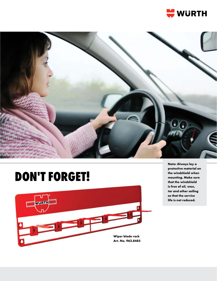



### **DON'T FORGET!**



**Note: Always lay a protective material on the windshield when mounting. Make sure that the windshield is free of oil, wax, tar and other soiling so that the service life is not reduced.**